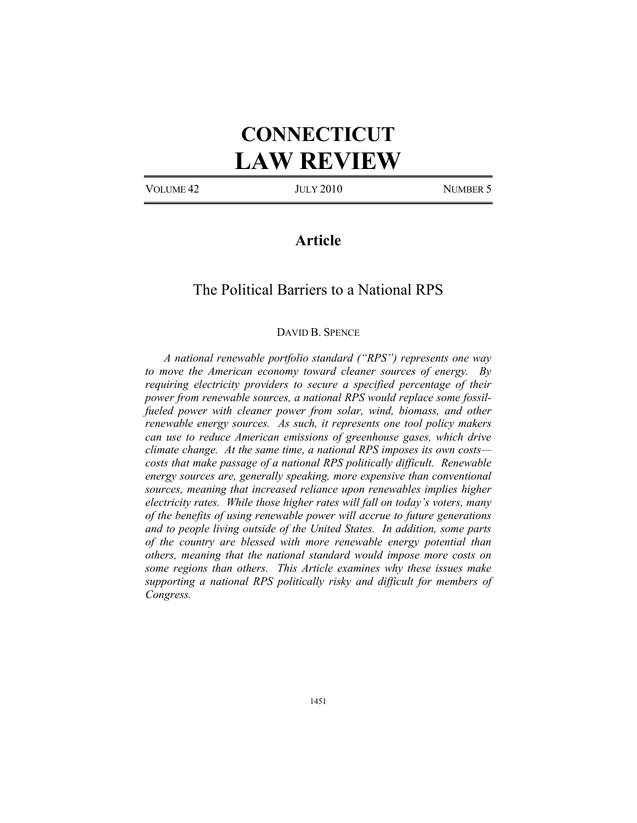# **CONNECTICUT LAW REVIEW**

VOLUME 42 JULY 2010 NUMBER 5

# **Article**

# The Political Barriers to a National RPS

# DAVID B. SPENCE

*A national renewable portfolio standard ("RPS") represents one way to move the American economy toward cleaner sources of energy. By requiring electricity providers to secure a specified percentage of their power from renewable sources, a national RPS would replace some fossil*fueled power with cleaner power from solar, wind, biomass, and other *renewable energy sources. As such, it represents one tool policy makers can use to reduce American emissions of greenhouse gases, which drive climate change. At the same time, a national RPS imposes its own costs costs that make passage of a national RPS politically difficult. Renewable energy sources are, generally speaking, more expensive than conventional sources, meaning that increased reliance upon renewables implies higher electricity rates. While those higher rates will fall on today's voters, many of the benefits of using renewable power will accrue to future generations and to people living outside of the United States. In addition, some parts of the country are blessed with more renewable energy potential than others, meaning that the national standard would impose more costs on some regions than others. This Article examines why these issues make supporting a national RPS politically risky and difficult for members of Congress.*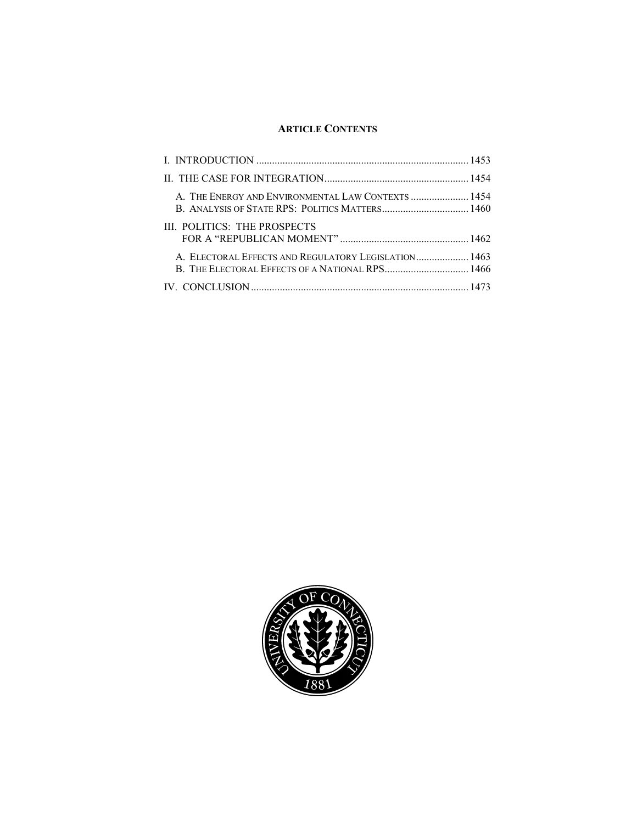# **ARTICLE CONTENTS**

| A. THE ENERGY AND ENVIRONMENTAL LAW CONTEXTS  1454                                                      |  |
|---------------------------------------------------------------------------------------------------------|--|
| III. POLITICS: THE PROSPECTS                                                                            |  |
| A. ELECTORAL EFFECTS AND REGULATORY LEGISLATION 1463<br>B. THE ELECTORAL EFFECTS OF A NATIONAL RPS 1466 |  |
|                                                                                                         |  |

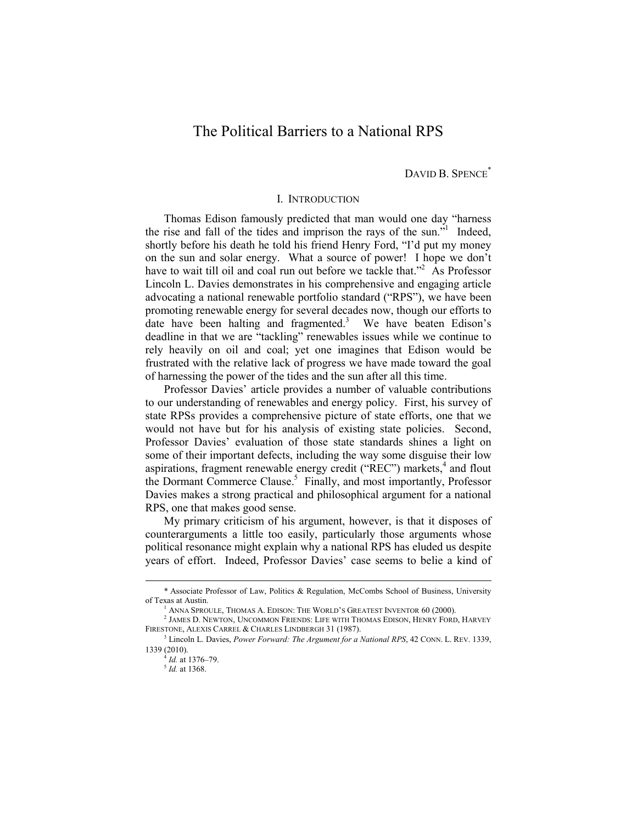# The Political Barriers to a National RPS

DAVID B. SPENCE<sup>\*</sup>

# I. INTRODUCTION

Thomas Edison famously predicted that man would one day "harness the rise and fall of the tides and imprison the rays of the sun."<sup>1</sup> Indeed, shortly before his death he told his friend Henry Ford, "I'd put my money on the sun and solar energy. What a source of power! I hope we don't have to wait till oil and coal run out before we tackle that."<sup>2</sup> As Professor Lincoln L. Davies demonstrates in his comprehensive and engaging article advocating a national renewable portfolio standard ("RPS"), we have been promoting renewable energy for several decades now, though our efforts to date have been halting and fragmented.<sup>3</sup> We have beaten Edison's deadline in that we are "tackling" renewables issues while we continue to rely heavily on oil and coal; yet one imagines that Edison would be frustrated with the relative lack of progress we have made toward the goal of harnessing the power of the tides and the sun after all this time.

Professor Davies' article provides a number of valuable contributions to our understanding of renewables and energy policy. First, his survey of state RPSs provides a comprehensive picture of state efforts, one that we would not have but for his analysis of existing state policies. Second, Professor Davies' evaluation of those state standards shines a light on some of their important defects, including the way some disguise their low aspirations, fragment renewable energy credit ("REC") markets,<sup>4</sup> and flout the Dormant Commerce Clause.<sup>5</sup> Finally, and most importantly, Professor Davies makes a strong practical and philosophical argument for a national RPS, one that makes good sense.

My primary criticism of his argument, however, is that it disposes of counterarguments a little too easily, particularly those arguments whose political resonance might explain why a national RPS has eluded us despite years of effort. Indeed, Professor Davies' case seems to belie a kind of

 <sup>\*</sup> Associate Professor of Law, Politics & Regulation, McCombs School of Business, University of Texas at Austin.<br><sup>1</sup> Anna Sproule. Thomas A. Edison: The World's Greatest Inventor 60 (2000).

<sup>&</sup>lt;sup>1</sup> Anna Sproule, Thomas A. Edison: The World's Greatest Inventor 60 (2000).<br><sup>2</sup> James D. Newton, Uncommon Friends: Life with Thomas Edison, Henry Ford, Harvey FIRESTONE, ALEXIS CARREL & CHARLES LINDBERGH 31 (1987).

Lincoln L. Davies, *Power Forward: The Argument for a National RPS*, 42 CONN. L. REV. 1339, 1339 (2010).

<sup>4</sup> *Id.* at 1376–79. 5 *Id.* at 1368.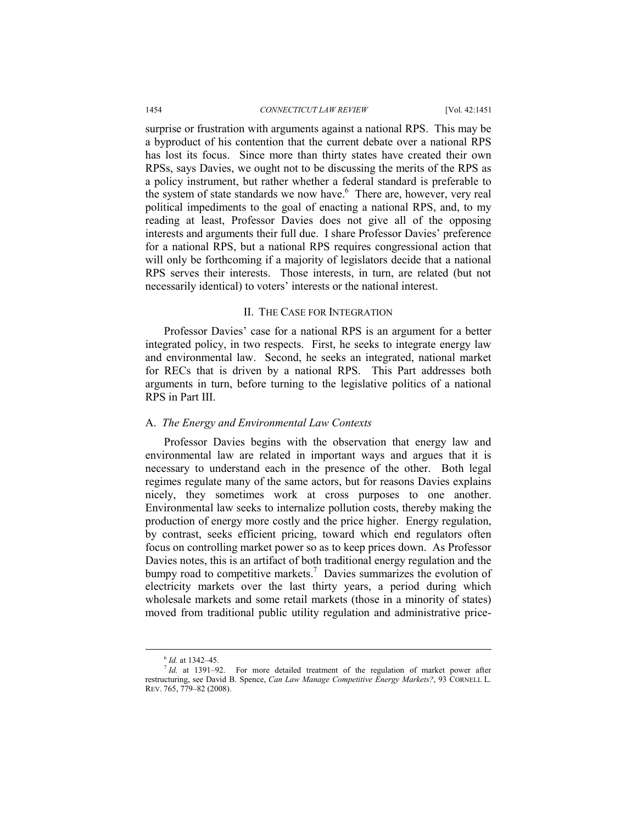surprise or frustration with arguments against a national RPS. This may be a byproduct of his contention that the current debate over a national RPS has lost its focus. Since more than thirty states have created their own RPSs, says Davies, we ought not to be discussing the merits of the RPS as a policy instrument, but rather whether a federal standard is preferable to the system of state standards we now have.<sup>6</sup> There are, however, very real political impediments to the goal of enacting a national RPS, and, to my reading at least, Professor Davies does not give all of the opposing interests and arguments their full due. I share Professor Davies' preference for a national RPS, but a national RPS requires congressional action that will only be forthcoming if a majority of legislators decide that a national RPS serves their interests. Those interests, in turn, are related (but not necessarily identical) to voters' interests or the national interest.

#### II. THE CASE FOR INTEGRATION

Professor Davies' case for a national RPS is an argument for a better integrated policy, in two respects. First, he seeks to integrate energy law and environmental law. Second, he seeks an integrated, national market for RECs that is driven by a national RPS. This Part addresses both arguments in turn, before turning to the legislative politics of a national RPS in Part III.

## A. *The Energy and Environmental Law Contexts*

Professor Davies begins with the observation that energy law and environmental law are related in important ways and argues that it is necessary to understand each in the presence of the other. Both legal regimes regulate many of the same actors, but for reasons Davies explains nicely, they sometimes work at cross purposes to one another. Environmental law seeks to internalize pollution costs, thereby making the production of energy more costly and the price higher. Energy regulation, by contrast, seeks efficient pricing, toward which end regulators often focus on controlling market power so as to keep prices down. As Professor Davies notes, this is an artifact of both traditional energy regulation and the bumpy road to competitive markets.<sup>7</sup> Davies summarizes the evolution of electricity markets over the last thirty years, a period during which wholesale markets and some retail markets (those in a minority of states) moved from traditional public utility regulation and administrative price-

 <sup>6</sup> *Id.* at 1342–45.

<sup>&</sup>lt;sup>7</sup> *Id.* at 1391–92. For more detailed treatment of the regulation of market power after restructuring, see David B. Spence, *Can Law Manage Competitive Energy Markets?*, 93 CORNELL L. REV. 765, 779–82 (2008).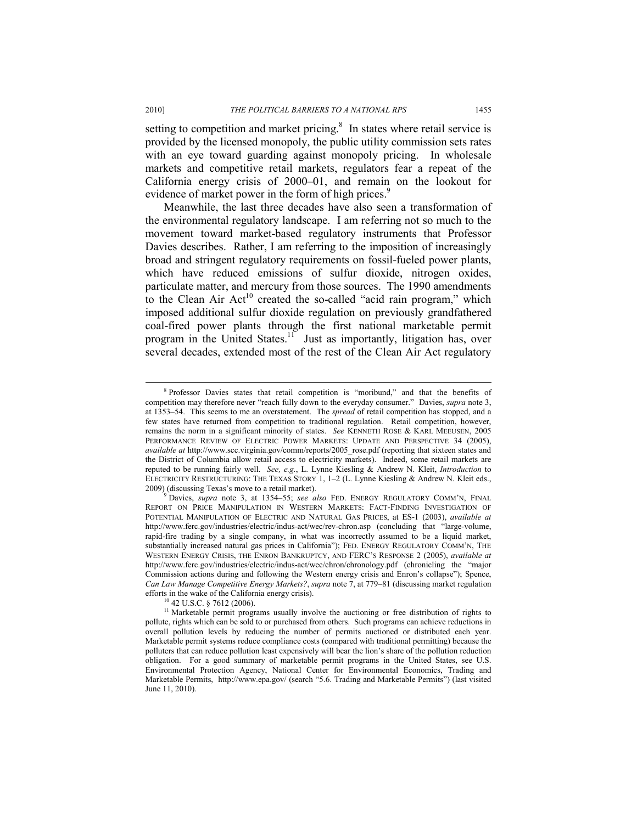setting to competition and market pricing. $\delta$  In states where retail service is provided by the licensed monopoly, the public utility commission sets rates with an eye toward guarding against monopoly pricing. In wholesale markets and competitive retail markets, regulators fear a repeat of the California energy crisis of 2000–01, and remain on the lookout for evidence of market power in the form of high prices.<sup>9</sup>

Meanwhile, the last three decades have also seen a transformation of the environmental regulatory landscape. I am referring not so much to the movement toward market-based regulatory instruments that Professor Davies describes. Rather, I am referring to the imposition of increasingly broad and stringent regulatory requirements on fossil-fueled power plants, which have reduced emissions of sulfur dioxide, nitrogen oxides, particulate matter, and mercury from those sources. The 1990 amendments to the Clean Air  $Act^{10}$  created the so-called "acid rain program," which imposed additional sulfur dioxide regulation on previously grandfathered coal-fired power plants through the first national marketable permit program in the United States.<sup>11</sup> Just as importantly, litigation has, over several decades, extended most of the rest of the Clean Air Act regulatory

 $\frac{1}{8}$  Professor Davies states that retail competition is "moribund," and that the benefits of competition may therefore never "reach fully down to the everyday consumer." Davies, *supra* note 3, at 1353–54. This seems to me an overstatement. The *spread* of retail competition has stopped, and a few states have returned from competition to traditional regulation. Retail competition, however, remains the norm in a significant minority of states. *See* KENNETH ROSE & KARL MEEUSEN, 2005 PERFORMANCE REVIEW OF ELECTRIC POWER MARKETS: UPDATE AND PERSPECTIVE 34 (2005), *available at* http://www.scc.virginia.gov/comm/reports/2005\_rose.pdf (reporting that sixteen states and the District of Columbia allow retail access to electricity markets). Indeed, some retail markets are reputed to be running fairly well. *See, e.g.*, L. Lynne Kiesling & Andrew N. Kleit, *Introduction* to ELECTRICITY RESTRUCTURING: THE TEXAS STORY 1, 1–2 (L. Lynne Kiesling & Andrew N. Kleit eds., 2009) (discussing Texas's move to a retail market). 9

Davies, *supra* note 3, at 1354–55; *see also* FED. ENERGY REGULATORY COMM'N, FINAL REPORT ON PRICE MANIPULATION IN WESTERN MARKETS: FACT-FINDING INVESTIGATION OF POTENTIAL MANIPULATION OF ELECTRIC AND NATURAL GAS PRICES, at ES-1 (2003), *available at*  http://www.ferc.gov/industries/electric/indus-act/wec/rev-chron.asp (concluding that "large-volume, rapid-fire trading by a single company, in what was incorrectly assumed to be a liquid market, substantially increased natural gas prices in California"); FED. ENERGY REGULATORY COMM'N, THE WESTERN ENERGY CRISIS, THE ENRON BANKRUPTCY, AND FERC'S RESPONSE 2 (2005), *available at*  http://www.ferc.gov/industries/electric/indus-act/wec/chron/chronology.pdf (chronicling the "major Commission actions during and following the Western energy crisis and Enron's collapse"); Spence, *Can Law Manage Competitive Energy Markets?*, *supra* note 7, at 779–81 (discussing market regulation efforts in the wake of the California energy crisis).<br><sup>10</sup> 42 U.S.C. § 7612 (2006).

<sup>&</sup>lt;sup>11</sup> Marketable permit programs usually involve the auctioning or free distribution of rights to pollute, rights which can be sold to or purchased from others. Such programs can achieve reductions in overall pollution levels by reducing the number of permits auctioned or distributed each year. Marketable permit systems reduce compliance costs (compared with traditional permitting) because the polluters that can reduce pollution least expensively will bear the lion's share of the pollution reduction obligation. For a good summary of marketable permit programs in the United States, see U.S. Environmental Protection Agency, National Center for Environmental Economics, Trading and Marketable Permits, http://www.epa.gov/ (search "5.6. Trading and Marketable Permits") (last visited June 11, 2010).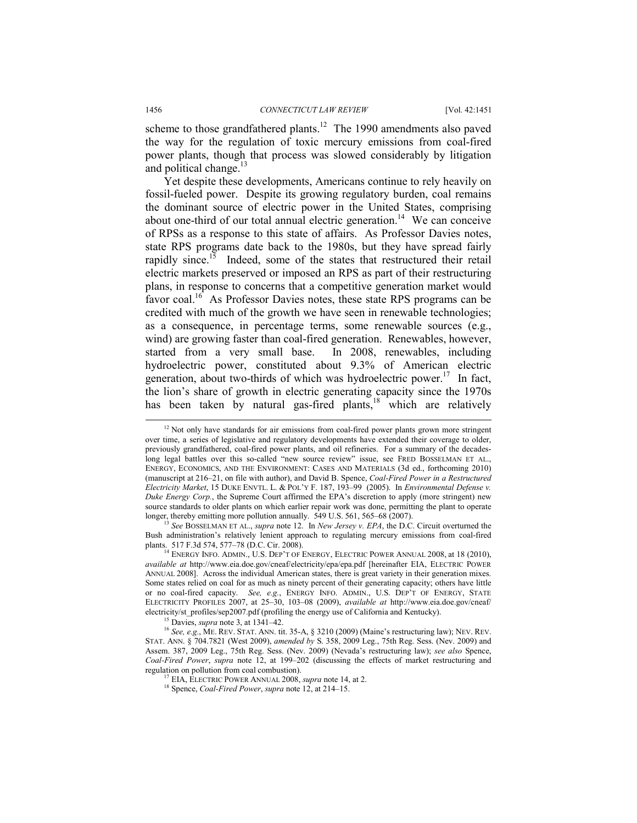scheme to those grandfathered plants.<sup>12</sup> The 1990 amendments also paved the way for the regulation of toxic mercury emissions from coal-fired power plants, though that process was slowed considerably by litigation and political change. $13$ 

Yet despite these developments, Americans continue to rely heavily on fossil-fueled power. Despite its growing regulatory burden, coal remains the dominant source of electric power in the United States, comprising about one-third of our total annual electric generation.<sup>14</sup> We can conceive of RPSs as a response to this state of affairs. As Professor Davies notes, state RPS programs date back to the 1980s, but they have spread fairly rapidly since.<sup>15</sup> Indeed, some of the states that restructured their retail electric markets preserved or imposed an RPS as part of their restructuring plans, in response to concerns that a competitive generation market would favor coal.<sup>16</sup> As Professor Davies notes, these state RPS programs can be credited with much of the growth we have seen in renewable technologies; as a consequence, in percentage terms, some renewable sources (e.g., wind) are growing faster than coal-fired generation. Renewables, however, started from a very small base. In 2008, renewables, including hydroelectric power, constituted about 9.3% of American electric generation, about two-thirds of which was hydroelectric power.<sup>17</sup> In fact, the lion's share of growth in electric generating capacity since the 1970s has been taken by natural gas-fired plants,<sup>18</sup> which are relatively

See BOSSELMAN ET AL., *supra* note 12. In *New Jersey v. EPA*, the D.C. Circuit overturned the Bush administration's relatively lenient approach to regulating mercury emissions from coal-fired plants. 517 F.3d 574, 577–78 (D.C. Cir. 2008).<br><sup>14</sup> ENERGY INFO. ADMIN., U.S. DEP'T OF ENERGY, ELECTRIC POWER ANNUAL 2008, at 18 (2010),

 $12$  Not only have standards for air emissions from coal-fired power plants grown more stringent over time, a series of legislative and regulatory developments have extended their coverage to older, previously grandfathered, coal-fired power plants, and oil refineries. For a summary of the decadeslong legal battles over this so-called "new source review" issue, see FRED BOSSELMAN ET AL., ENERGY, ECONOMICS, AND THE ENVIRONMENT: CASES AND MATERIALS (3d ed., forthcoming 2010) (manuscript at 216–21, on file with author), and David B. Spence, *Coal-Fired Power in a Restructured Electricity Market*, 15 DUKE ENVTL. L. & POL'Y F. 187, 193–99 (2005). In *Environmental Defense v. Duke Energy Corp.*, the Supreme Court affirmed the EPA's discretion to apply (more stringent) new source standards to older plants on which earlier repair work was done, permitting the plant to operate longer, thereby emitting more pollution annually. 549 U.S. 561, 565–68 (2007).

*available at* http://www.eia.doe.gov/cneaf/electricity/epa/epa.pdf [hereinafter EIA, ELECTRIC POWER ANNUAL 2008]. Across the individual American states, there is great variety in their generation mixes. Some states relied on coal for as much as ninety percent of their generating capacity; others have little or no coal-fired capacity. *See, e.g.*, ENERGY INFO. ADMIN., U.S. DEP'T OF ENERGY, STATE ELECTRICITY PROFILES 2007, at 25–30, 103–08 (2009), *available at* http://www.eia.doe.gov/cneaf/ electricity/st\_profiles/sep2007.pdf (profiling the energy use of California and Kentucky). 15 Davies, *supra* note 3, at 1341–42.

<sup>16</sup> *See, e.g.*, ME. REV. STAT. ANN. tit. 35-A, § 3210 (2009) (Maine's restructuring law); NEV. REV. STAT. ANN. § 704.7821 (West 2009), *amended by* S. 358, 2009 Leg., 75th Reg. Sess. (Nev. 2009) and Assem. 387, 2009 Leg., 75th Reg. Sess. (Nev. 2009) (Nevada's restructuring law); *see also* Spence, *Coal-Fired Power*, *supra* note 12, at 199–202 (discussing the effects of market restructuring and

<sup>&</sup>lt;sup>17</sup> EIA, ELECTRIC POWER ANNUAL 2008, *supra* note 14, at 2. <sup>18</sup> Spence, *Coal-Fired Power*, *supra* note 12, at 214–15.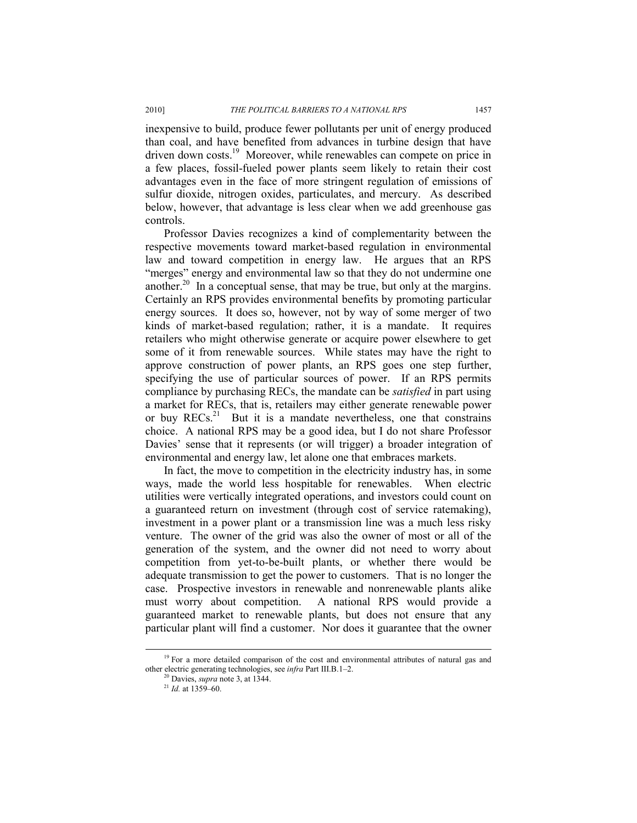inexpensive to build, produce fewer pollutants per unit of energy produced than coal, and have benefited from advances in turbine design that have driven down costs.<sup>19</sup> Moreover, while renewables can compete on price in a few places, fossil-fueled power plants seem likely to retain their cost advantages even in the face of more stringent regulation of emissions of sulfur dioxide, nitrogen oxides, particulates, and mercury. As described below, however, that advantage is less clear when we add greenhouse gas controls.

Professor Davies recognizes a kind of complementarity between the respective movements toward market-based regulation in environmental law and toward competition in energy law. He argues that an RPS "merges" energy and environmental law so that they do not undermine one another.20 In a conceptual sense, that may be true, but only at the margins. Certainly an RPS provides environmental benefits by promoting particular energy sources. It does so, however, not by way of some merger of two kinds of market-based regulation; rather, it is a mandate. It requires retailers who might otherwise generate or acquire power elsewhere to get some of it from renewable sources. While states may have the right to approve construction of power plants, an RPS goes one step further, specifying the use of particular sources of power. If an RPS permits compliance by purchasing RECs, the mandate can be *satisfied* in part using a market for RECs, that is, retailers may either generate renewable power or buy  $RECs<sup>21</sup>$  But it is a mandate nevertheless, one that constrains choice. A national RPS may be a good idea, but I do not share Professor Davies' sense that it represents (or will trigger) a broader integration of environmental and energy law, let alone one that embraces markets.

In fact, the move to competition in the electricity industry has, in some ways, made the world less hospitable for renewables. When electric utilities were vertically integrated operations, and investors could count on a guaranteed return on investment (through cost of service ratemaking), investment in a power plant or a transmission line was a much less risky venture. The owner of the grid was also the owner of most or all of the generation of the system, and the owner did not need to worry about competition from yet-to-be-built plants, or whether there would be adequate transmission to get the power to customers. That is no longer the case. Prospective investors in renewable and nonrenewable plants alike must worry about competition. A national RPS would provide a guaranteed market to renewable plants, but does not ensure that any particular plant will find a customer. Nor does it guarantee that the owner

<sup>&</sup>lt;sup>19</sup> For a more detailed comparison of the cost and environmental attributes of natural gas and other electric generating technologies, see *infra* Part III.B.1–2. 20 Davies, *supra* note 3, at 1344.

<sup>21</sup> *Id.* at 1359–60.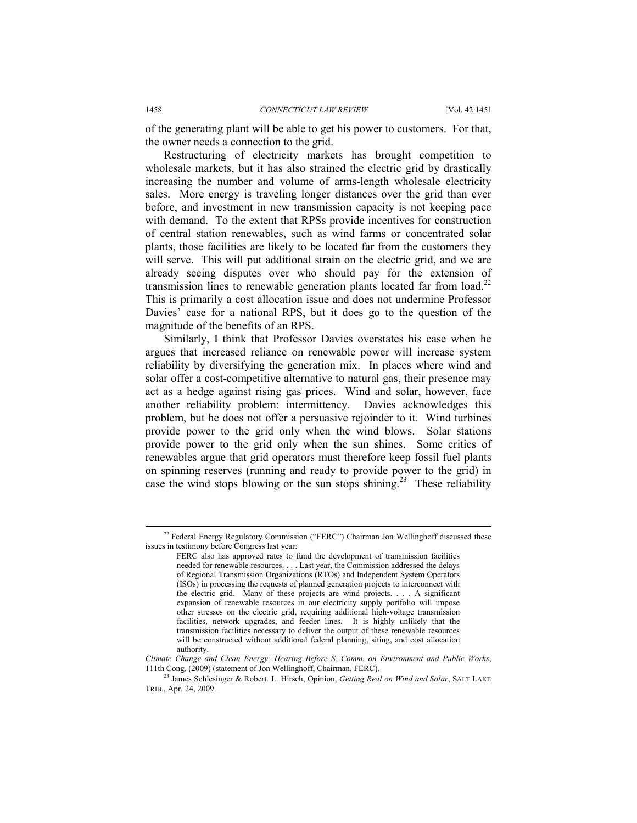of the generating plant will be able to get his power to customers. For that, the owner needs a connection to the grid.

Restructuring of electricity markets has brought competition to wholesale markets, but it has also strained the electric grid by drastically increasing the number and volume of arms-length wholesale electricity sales. More energy is traveling longer distances over the grid than ever before, and investment in new transmission capacity is not keeping pace with demand. To the extent that RPSs provide incentives for construction of central station renewables, such as wind farms or concentrated solar plants, those facilities are likely to be located far from the customers they will serve. This will put additional strain on the electric grid, and we are already seeing disputes over who should pay for the extension of transmission lines to renewable generation plants located far from load.<sup>22</sup> This is primarily a cost allocation issue and does not undermine Professor Davies' case for a national RPS, but it does go to the question of the magnitude of the benefits of an RPS.

Similarly, I think that Professor Davies overstates his case when he argues that increased reliance on renewable power will increase system reliability by diversifying the generation mix. In places where wind and solar offer a cost-competitive alternative to natural gas, their presence may act as a hedge against rising gas prices. Wind and solar, however, face another reliability problem: intermittency. Davies acknowledges this problem, but he does not offer a persuasive rejoinder to it. Wind turbines provide power to the grid only when the wind blows. Solar stations provide power to the grid only when the sun shines. Some critics of renewables argue that grid operators must therefore keep fossil fuel plants on spinning reserves (running and ready to provide power to the grid) in case the wind stops blowing or the sun stops shining.<sup>23</sup> These reliability

<sup>&</sup>lt;sup>22</sup> Federal Energy Regulatory Commission ("FERC") Chairman Jon Wellinghoff discussed these issues in testimony before Congress last year:

FERC also has approved rates to fund the development of transmission facilities needed for renewable resources. . . . Last year, the Commission addressed the delays of Regional Transmission Organizations (RTOs) and Independent System Operators (ISOs) in processing the requests of planned generation projects to interconnect with the electric grid. Many of these projects are wind projects. . . . A significant expansion of renewable resources in our electricity supply portfolio will impose other stresses on the electric grid, requiring additional high-voltage transmission facilities, network upgrades, and feeder lines. It is highly unlikely that the transmission facilities necessary to deliver the output of these renewable resources will be constructed without additional federal planning, siting, and cost allocation authority.

*Climate Change and Clean Energy: Hearing Before S. Comm. on Environment and Public Works*, 111th Cong. (2009) (statement of Jon Wellinghoff, Chairman, FERC). 23 James Schlesinger & Robert. L. Hirsch, Opinion, *Getting Real on Wind and Solar*, SALT LAKE

TRIB., Apr. 24, 2009.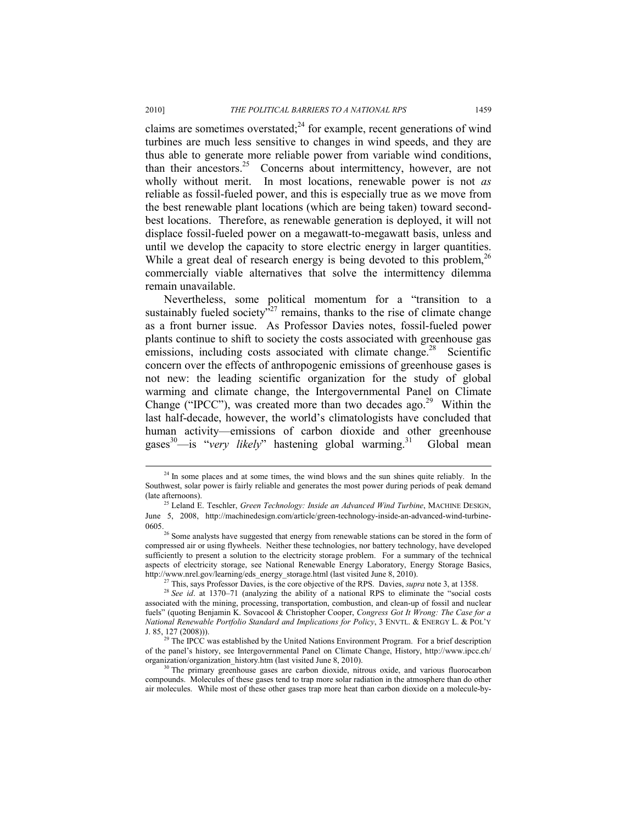claims are sometimes overstated; $^{24}$  for example, recent generations of wind turbines are much less sensitive to changes in wind speeds, and they are thus able to generate more reliable power from variable wind conditions, than their ancestors.<sup>25</sup> Concerns about intermittency, however, are not wholly without merit. In most locations, renewable power is not *as* reliable as fossil-fueled power, and this is especially true as we move from the best renewable plant locations (which are being taken) toward secondbest locations. Therefore, as renewable generation is deployed, it will not displace fossil-fueled power on a megawatt-to-megawatt basis, unless and until we develop the capacity to store electric energy in larger quantities. While a great deal of research energy is being devoted to this problem,  $^{26}$ commercially viable alternatives that solve the intermittency dilemma remain unavailable.

Nevertheless, some political momentum for a "transition to a sustainably fueled society $v^{327}$  remains, thanks to the rise of climate change as a front burner issue. As Professor Davies notes, fossil-fueled power plants continue to shift to society the costs associated with greenhouse gas emissions, including costs associated with climate change.<sup>28</sup> Scientific concern over the effects of anthropogenic emissions of greenhouse gases is not new: the leading scientific organization for the study of global warming and climate change, the Intergovernmental Panel on Climate Change ("IPCC"), was created more than two decades ago.<sup>29</sup> Within the last half-decade, however, the world's climatologists have concluded that human activity—emissions of carbon dioxide and other greenhouse gases<sup>30</sup>—is "*very likely*" hastening global warming.<sup>31</sup> Global mean

 $24$  In some places and at some times, the wind blows and the sun shines quite reliably. In the Southwest, solar power is fairly reliable and generates the most power during periods of peak demand

<sup>(</sup>late afternoons). 25 Leland E. Teschler, *Green Technology: Inside an Advanced Wind Turbine*, MACHINE DESIGN, June 5, 2008, http://machinedesign.com/article/green-technology-inside-an-advanced-wind-turbine- $\frac{26}{6}$  Some analysts have suggested that energy from renewable stations can be stored in the form of

compressed air or using flywheels. Neither these technologies, nor battery technology, have developed sufficiently to present a solution to the electricity storage problem. For a summary of the technical aspects of electricity storage, see National Renewable Energy Laboratory, Energy Storage Basics, http://www.nrel.gov/learning/eds\_energy\_storage.html (last visited June 8, 2010).

<sup>&</sup>lt;sup>27</sup> This, says Professor Davies, is the core objective of the RPS. Davies, *supra* note 3, at 1358.<br><sup>28</sup> *See id.* at 1370–71 (analyzing the ability of a national RPS to eliminate the "social costs" associated with the mining, processing, transportation, combustion, and clean-up of fossil and nuclear fuels" (quoting Benjamin K. Sovacool & Christopher Cooper, *Congress Got It Wrong: The Case for a National Renewable Portfolio Standard and Implications for Policy*, 3 ENVTL. & ENERGY L. & POL'Y

J. 85, 127 (2008))). 29 The IPCC was established by the United Nations Environment Program. For a brief description of the panel's history, see Intergovernmental Panel on Climate Change, History, http://www.ipcc.ch/ organization/organization\_history.htm (last visited June 8, 2010). 30 The primary greenhouse gases are carbon dioxide, nitrous oxide, and various fluorocarbon

compounds. Molecules of these gases tend to trap more solar radiation in the atmosphere than do other air molecules. While most of these other gases trap more heat than carbon dioxide on a molecule-by-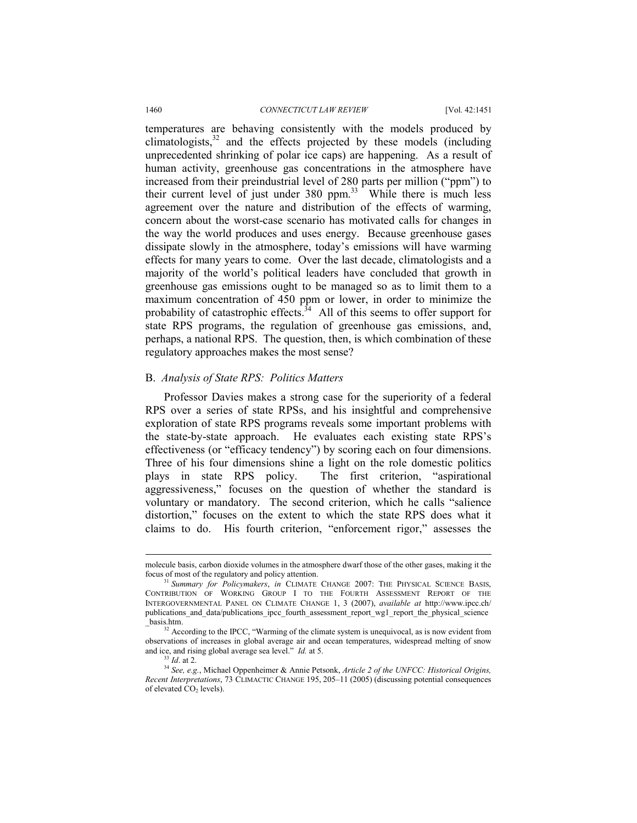temperatures are behaving consistently with the models produced by climatologists, $32$  and the effects projected by these models (including unprecedented shrinking of polar ice caps) are happening. As a result of human activity, greenhouse gas concentrations in the atmosphere have increased from their preindustrial level of 280 parts per million ("ppm") to their current level of just under  $380$  ppm.<sup>33</sup> While there is much less agreement over the nature and distribution of the effects of warming, concern about the worst-case scenario has motivated calls for changes in the way the world produces and uses energy. Because greenhouse gases dissipate slowly in the atmosphere, today's emissions will have warming effects for many years to come. Over the last decade, climatologists and a majority of the world's political leaders have concluded that growth in greenhouse gas emissions ought to be managed so as to limit them to a maximum concentration of 450 ppm or lower, in order to minimize the probability of catastrophic effects. $34$  All of this seems to offer support for state RPS programs, the regulation of greenhouse gas emissions, and, perhaps, a national RPS. The question, then, is which combination of these regulatory approaches makes the most sense?

#### B. *Analysis of State RPS: Politics Matters*

Professor Davies makes a strong case for the superiority of a federal RPS over a series of state RPSs, and his insightful and comprehensive exploration of state RPS programs reveals some important problems with the state-by-state approach. He evaluates each existing state RPS's effectiveness (or "efficacy tendency") by scoring each on four dimensions. Three of his four dimensions shine a light on the role domestic politics plays in state RPS policy. The first criterion, "aspirational aggressiveness," focuses on the question of whether the standard is voluntary or mandatory. The second criterion, which he calls "salience distortion," focuses on the extent to which the state RPS does what it claims to do. His fourth criterion, "enforcement rigor," assesses the

l

molecule basis, carbon dioxide volumes in the atmosphere dwarf those of the other gases, making it the focus of most of the regulatory and policy attention.

<sup>&</sup>lt;sup>1</sup> Summary for Policymakers, in CLIMATE CHANGE 2007: THE PHYSICAL SCIENCE BASIS, CONTRIBUTION OF WORKING GROUP I TO THE FOURTH ASSESSMENT REPORT OF THE INTERGOVERNMENTAL PANEL ON CLIMATE CHANGE 1, 3 (2007), *available at* http://www.ipcc.ch/ publications\_and\_data/publications\_ipcc\_fourth\_assessment\_report\_wg1\_report\_the\_physical\_science \_basis.htm. 32 According to the IPCC, "Warming of the climate system is unequivocal, as is now evident from

observations of increases in global average air and ocean temperatures, widespread melting of snow and ice, and rising global average sea level."  $Id$  at 5.

<sup>&</sup>lt;sup>33</sup> *Id.* at 2.<br><sup>34</sup> *See, e.g.*, Michael Oppenheimer & Annie Petsonk, *Article 2 of the UNFCC: Historical Origins, Recent Interpretations*, 73 CLIMACTIC CHANGE 195, 205–11 (2005) (discussing potential consequences of elevated CO<sub>2</sub> levels).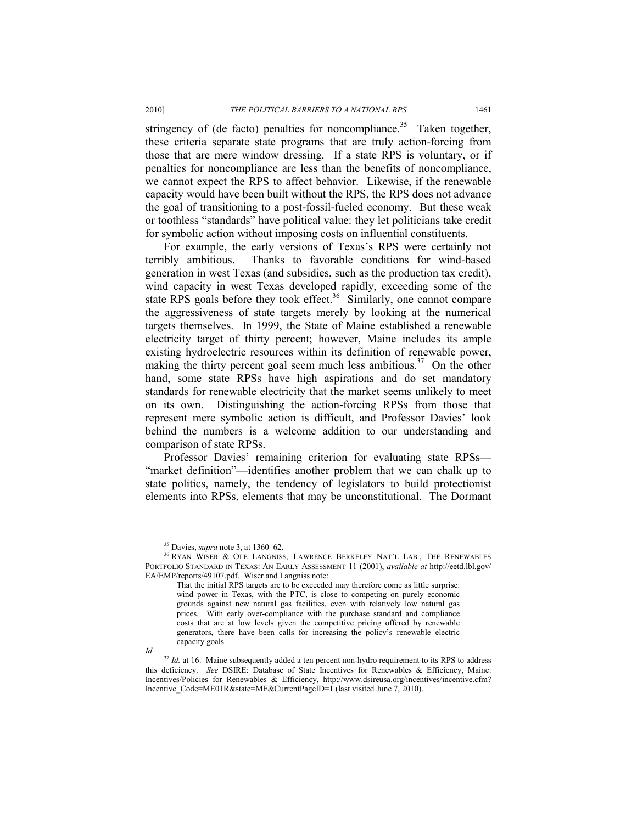stringency of (de facto) penalties for noncompliance.<sup>35</sup> Taken together, these criteria separate state programs that are truly action-forcing from those that are mere window dressing. If a state RPS is voluntary, or if penalties for noncompliance are less than the benefits of noncompliance, we cannot expect the RPS to affect behavior. Likewise, if the renewable capacity would have been built without the RPS, the RPS does not advance the goal of transitioning to a post-fossil-fueled economy. But these weak or toothless "standards" have political value: they let politicians take credit for symbolic action without imposing costs on influential constituents.

For example, the early versions of Texas's RPS were certainly not terribly ambitious. Thanks to favorable conditions for wind-based generation in west Texas (and subsidies, such as the production tax credit), wind capacity in west Texas developed rapidly, exceeding some of the state RPS goals before they took effect.<sup>36</sup> Similarly, one cannot compare the aggressiveness of state targets merely by looking at the numerical targets themselves. In 1999, the State of Maine established a renewable electricity target of thirty percent; however, Maine includes its ample existing hydroelectric resources within its definition of renewable power, making the thirty percent goal seem much less ambitious.<sup>37</sup> On the other hand, some state RPSs have high aspirations and do set mandatory standards for renewable electricity that the market seems unlikely to meet on its own. Distinguishing the action-forcing RPSs from those that represent mere symbolic action is difficult, and Professor Davies' look behind the numbers is a welcome addition to our understanding and comparison of state RPSs.

Professor Davies' remaining criterion for evaluating state RPSs— "market definition"—identifies another problem that we can chalk up to state politics, namely, the tendency of legislators to build protectionist elements into RPSs, elements that may be unconstitutional. The Dormant

*Id.* 

 <sup>35</sup> Davies, *supra* note 3, at 1360–62.

<sup>&</sup>lt;sup>36</sup> RYAN WISER & OLE LANGNISS, LAWRENCE BERKELEY NAT'L LAB., THE RENEWABLES PORTFOLIO STANDARD IN TEXAS: AN EARLY ASSESSMENT 11 (2001), *available at* http://eetd.lbl.gov/ EA/EMP/reports/49107.pdf. Wiser and Langniss note:

That the initial RPS targets are to be exceeded may therefore come as little surprise: wind power in Texas, with the PTC, is close to competing on purely economic grounds against new natural gas facilities, even with relatively low natural gas prices. With early over-compliance with the purchase standard and compliance costs that are at low levels given the competitive pricing offered by renewable generators, there have been calls for increasing the policy's renewable electric capacity goals.

<sup>&</sup>lt;sup>37</sup> *Id.* at 16. Maine subsequently added a ten percent non-hydro requirement to its RPS to address this deficiency. *See* DSIRE: Database of State Incentives for Renewables & Efficiency, Maine: Incentives/Policies for Renewables & Efficiency, http://www.dsireusa.org/incentives/incentive.cfm? Incentive\_Code=ME01R&state=ME&CurrentPageID=1 (last visited June 7, 2010).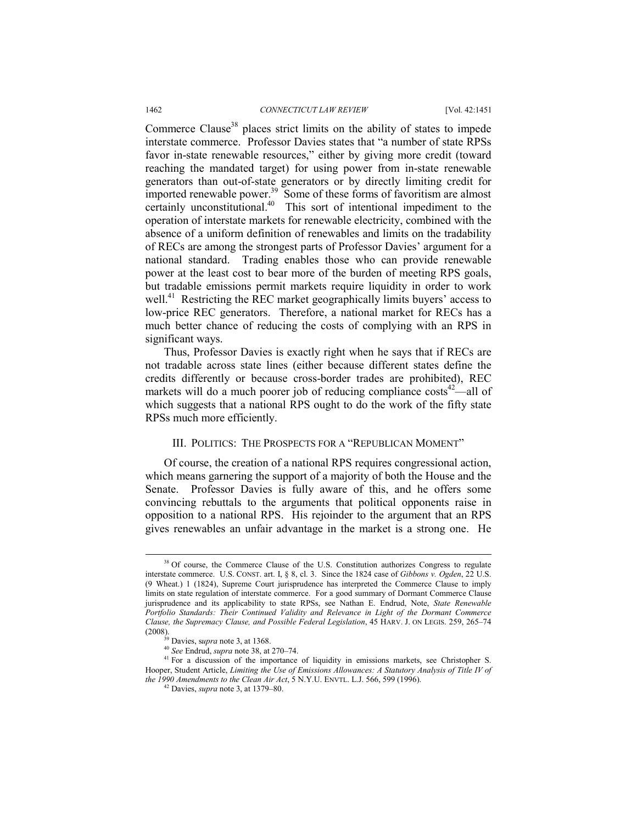Commerce Clause<sup>38</sup> places strict limits on the ability of states to impede interstate commerce. Professor Davies states that "a number of state RPSs favor in-state renewable resources," either by giving more credit (toward reaching the mandated target) for using power from in-state renewable generators than out-of-state generators or by directly limiting credit for imported renewable power.<sup>39</sup> Some of these forms of favoritism are almost certainly unconstitutional.<sup>40</sup> This sort of intentional impediment to the operation of interstate markets for renewable electricity, combined with the absence of a uniform definition of renewables and limits on the tradability of RECs are among the strongest parts of Professor Davies' argument for a national standard. Trading enables those who can provide renewable power at the least cost to bear more of the burden of meeting RPS goals, but tradable emissions permit markets require liquidity in order to work well.<sup>41</sup> Restricting the REC market geographically limits buyers' access to low-price REC generators. Therefore, a national market for RECs has a much better chance of reducing the costs of complying with an RPS in significant ways.

Thus, Professor Davies is exactly right when he says that if RECs are not tradable across state lines (either because different states define the credits differently or because cross-border trades are prohibited), REC markets will do a much poorer job of reducing compliance  $costs<sup>42</sup>$ —all of which suggests that a national RPS ought to do the work of the fifty state RPSs much more efficiently.

## III. POLITICS: THE PROSPECTS FOR A "REPUBLICAN MOMENT"

Of course, the creation of a national RPS requires congressional action, which means garnering the support of a majority of both the House and the Senate. Professor Davies is fully aware of this, and he offers some convincing rebuttals to the arguments that political opponents raise in opposition to a national RPS. His rejoinder to the argument that an RPS gives renewables an unfair advantage in the market is a strong one. He

<sup>&</sup>lt;sup>38</sup> Of course, the Commerce Clause of the U.S. Constitution authorizes Congress to regulate interstate commerce. U.S. CONST. art. I, § 8, cl. 3. Since the 1824 case of *Gibbons v. Ogden*, 22 U.S. (9 Wheat.) 1 (1824), Supreme Court jurisprudence has interpreted the Commerce Clause to imply limits on state regulation of interstate commerce. For a good summary of Dormant Commerce Clause jurisprudence and its applicability to state RPSs, see Nathan E. Endrud, Note, *State Renewable Portfolio Standards: Their Continued Validity and Relevance in Light of the Dormant Commerce Clause, the Supremacy Clause, and Possible Federal Legislation,* 45 HARV. J. ON LEGIS. 259, 265–74 (2008).<br><sup>39</sup> Davies. *supra* note 3, at 1368.

<sup>&</sup>lt;sup>40</sup> See Endrud, *supra* note 38, at 270–74.<br><sup>41</sup> For a discussion of the importance of liquidity in emissions markets, see Christopher S. Hooper, Student Article, *Limiting the Use of Emissions Allowances: A Statutory Analysis of Title IV of the 1990 Amendments to the Clean Air Act*, 5 N.Y.U. ENVTL. L.J. 566, 599 (1996). 42 Davies, *supra* note 3, at 1379–80.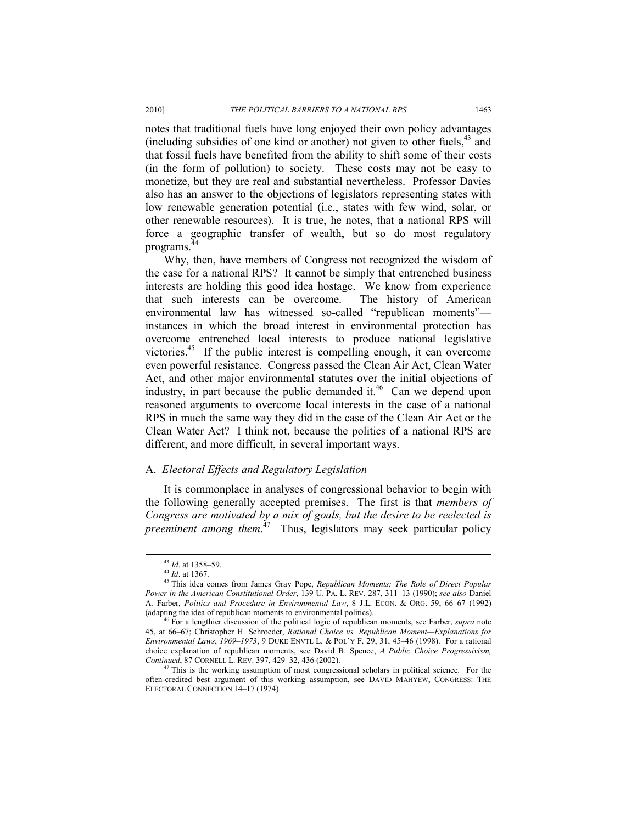notes that traditional fuels have long enjoyed their own policy advantages (including subsidies of one kind or another) not given to other fuels,  $43$  and that fossil fuels have benefited from the ability to shift some of their costs (in the form of pollution) to society. These costs may not be easy to monetize, but they are real and substantial nevertheless. Professor Davies also has an answer to the objections of legislators representing states with low renewable generation potential (i.e., states with few wind, solar, or other renewable resources). It is true, he notes, that a national RPS will force a geographic transfer of wealth, but so do most regulatory programs.<sup>44</sup>

Why, then, have members of Congress not recognized the wisdom of the case for a national RPS? It cannot be simply that entrenched business interests are holding this good idea hostage. We know from experience that such interests can be overcome. The history of American environmental law has witnessed so-called "republican moments" instances in which the broad interest in environmental protection has overcome entrenched local interests to produce national legislative victories.<sup>45</sup> If the public interest is compelling enough, it can overcome even powerful resistance. Congress passed the Clean Air Act, Clean Water Act, and other major environmental statutes over the initial objections of industry, in part because the public demanded it.<sup>46</sup> Can we depend upon reasoned arguments to overcome local interests in the case of a national RPS in much the same way they did in the case of the Clean Air Act or the Clean Water Act? I think not, because the politics of a national RPS are different, and more difficult, in several important ways.

## A. *Electoral Effects and Regulatory Legislation*

It is commonplace in analyses of congressional behavior to begin with the following generally accepted premises. The first is that *members of Congress are motivated by a mix of goals, but the desire to be reelected is preeminent among them*. 47 Thus, legislators may seek particular policy

<sup>&</sup>lt;sup>43</sup> *Id.* at 1358–59.<br><sup>44</sup> *Id.* at 1367.<br><sup>45</sup> This idea comes from James Gray Pope, *Republican Moments: The Role of Direct Popular Power in the American Constitutional Order*, 139 U. PA. L. REV. 287, 311–13 (1990); *see also* Daniel A. Farber, *Politics and Procedure in Environmental Law*, 8 J.L. ECON. & ORG. 59, 66–67 (1992)

<sup>&</sup>lt;sup>16</sup> For a lengthier discussion of the political logic of republican moments, see Farber, *supra* note 45, at 66–67; Christopher H. Schroeder, *Rational Choice vs. Republican Moment—Explanations for Environmental Laws*, *1969–1973*, 9 DUKE ENVTL L. & POL'Y F. 29, 31, 45–46 (1998). For a rational choice explanation of republican moments, see David B. Spence, *A Public Choice Progressivism, Continued*, 87 CORNELL L. REV. 397, 429–32, 436 (2002).<br><sup>47</sup> This is the working assumption of most congressional scholars in political science. For the

often-credited best argument of this working assumption, see DAVID MAHYEW, CONGRESS: THE ELECTORAL CONNECTION 14–17 (1974).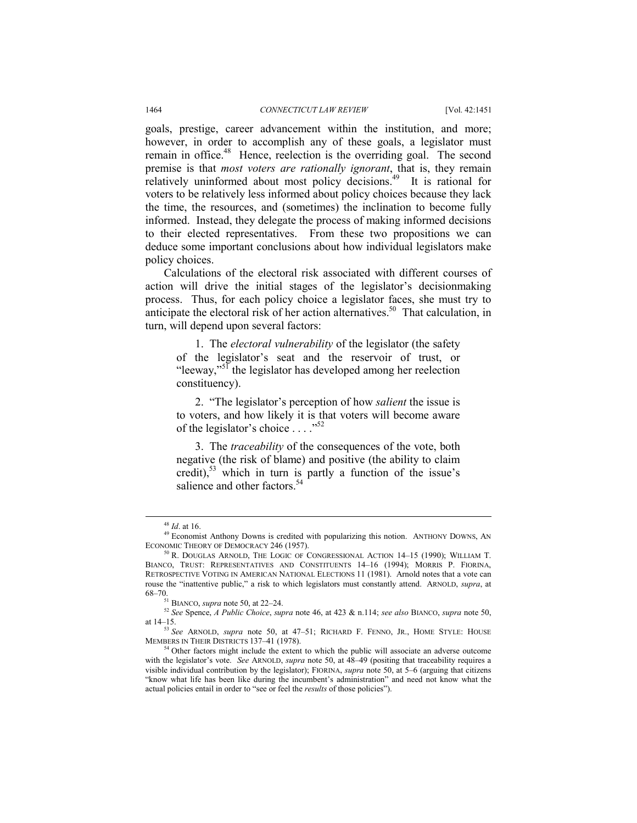goals, prestige, career advancement within the institution, and more; however, in order to accomplish any of these goals, a legislator must remain in office.<sup>48</sup> Hence, reelection is the overriding goal. The second premise is that *most voters are rationally ignorant*, that is, they remain relatively uninformed about most policy decisions.<sup>49</sup> It is rational for voters to be relatively less informed about policy choices because they lack the time, the resources, and (sometimes) the inclination to become fully informed. Instead, they delegate the process of making informed decisions to their elected representatives. From these two propositions we can deduce some important conclusions about how individual legislators make policy choices.

Calculations of the electoral risk associated with different courses of action will drive the initial stages of the legislator's decisionmaking process. Thus, for each policy choice a legislator faces, she must try to anticipate the electoral risk of her action alternatives.<sup>50</sup> That calculation, in turn, will depend upon several factors:

1. The *electoral vulnerability* of the legislator (the safety of the legislator's seat and the reservoir of trust, or "leeway,"<sup>51</sup> the legislator has developed among her reelection constituency).

2. "The legislator's perception of how *salient* the issue is to voters, and how likely it is that voters will become aware of the legislator's choice . . . ."52

3. The *traceability* of the consequences of the vote, both negative (the risk of blame) and positive (the ability to claim credit),<sup>53</sup> which in turn is partly a function of the issue's salience and other factors.<sup>54</sup>

<sup>&</sup>lt;sup>48</sup> *Id.* at 16. 49 Economist Anthony Downs is credited with popularizing this notion. ANTHONY DOWNS, AN ECONOMIC THEORY OF DEMOCRACY 246 (1957).<br><sup>50</sup> R. DOUGLAS ARNOLD, THE LOGIC OF CONGRESSIONAL ACTION 14–15 (1990); WILLIAM T.

BIANCO, TRUST: REPRESENTATIVES AND CONSTITUENTS 14–16 (1994); MORRIS P. FIORINA, RETROSPECTIVE VOTING IN AMERICAN NATIONAL ELECTIONS 11 (1981). Arnold notes that a vote can rouse the "inattentive public," a risk to which legislators must constantly attend. ARNOLD, *supra*, at

<sup>68–70. 51</sup> BIANCO, *supra* note 50, at 22–24. 52 *See* Spence, *A Public Choice*, *supra* note 46, at 423 & n.114; *see also* BIANCO, *supra* note 50, at 14–15.

<sup>53</sup> *See* ARNOLD, *supra* note 50, at 47–51; RICHARD F. FENNO, JR., HOME STYLE: HOUSE MEMBERS IN THEIR DISTRICTS 137–41 (1978). 54 Other factors might include the extent to which the public will associate an adverse outcome

with the legislator's vote. *See* ARNOLD, *supra* note 50, at 48–49 (positing that traceability requires a visible individual contribution by the legislator); FIORINA, *supra* note 50, at 5–6 (arguing that citizens "know what life has been like during the incumbent's administration" and need not know what the actual policies entail in order to "see or feel the *results* of those policies").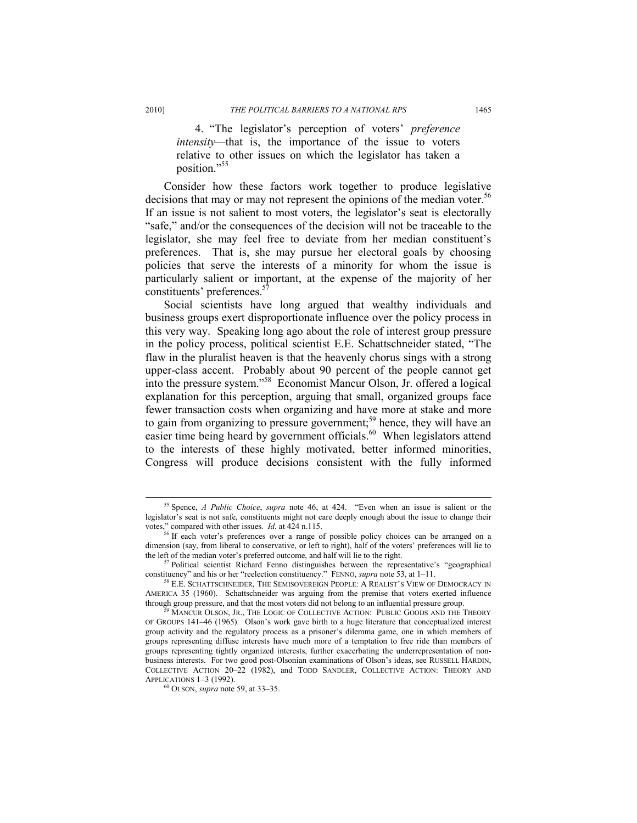4. "The legislator's perception of voters' *preference intensity—*that is, the importance of the issue to voters relative to other issues on which the legislator has taken a position."55

Consider how these factors work together to produce legislative decisions that may or may not represent the opinions of the median voter.<sup>56</sup> If an issue is not salient to most voters, the legislator's seat is electorally "safe," and/or the consequences of the decision will not be traceable to the legislator, she may feel free to deviate from her median constituent's preferences. That is, she may pursue her electoral goals by choosing policies that serve the interests of a minority for whom the issue is particularly salient or important, at the expense of the majority of her constituents' preferences.<sup>57</sup>

Social scientists have long argued that wealthy individuals and business groups exert disproportionate influence over the policy process in this very way. Speaking long ago about the role of interest group pressure in the policy process, political scientist E.E. Schattschneider stated, "The flaw in the pluralist heaven is that the heavenly chorus sings with a strong upper-class accent. Probably about 90 percent of the people cannot get into the pressure system."58 Economist Mancur Olson, Jr. offered a logical explanation for this perception, arguing that small, organized groups face fewer transaction costs when organizing and have more at stake and more to gain from organizing to pressure government;<sup>59</sup> hence, they will have an easier time being heard by government officials.<sup>60</sup> When legislators attend to the interests of these highly motivated, better informed minorities, Congress will produce decisions consistent with the fully informed

 <sup>55</sup> Spence, *A Public Choice*, *supra* note 46, at 424. "Even when an issue is salient or the legislator's seat is not safe, constituents might not care deeply enough about the issue to change their votes," compared with other issues.  $Id$  at  $424$  n.115.

<sup>&</sup>lt;sup>56</sup> If each voter's preferences over a range of possible policy choices can be arranged on a dimension (say, from liberal to conservative, or left to right), half of the voters' preferences will lie to the left of the median voter's preferred outcome, and half will lie to the right.

<sup>&</sup>lt;sup>57</sup> Political scientist Richard Fenno distinguishes between the representative's "geographical constituency" and his or her "reelection constituency." FENNO, *supra* note 53, at  $1-11$ .

<sup>&</sup>lt;sup>58</sup> E.E. SCHATTSCHNEIDER, THE SEMISOVEREIGN PEOPLE: A REALIST'S VIEW OF DEMOCRACY IN AMERICA 35 (1960). Schattschneider was arguing from the premise that voters exerted influence through group pressure, and that the most voters did not belong to an influential pressure group.<br><sup>59</sup> MANCUR OLSON, JR., THE LOGIC OF COLLECTIVE ACTION: PUBLIC GOODS AND THE THEORY

OF GROUPS 141–46 (1965). Olson's work gave birth to a huge literature that conceptualized interest group activity and the regulatory process as a prisoner's dilemma game, one in which members of groups representing diffuse interests have much more of a temptation to free ride than members of groups representing tightly organized interests, further exacerbating the underrepresentation of nonbusiness interests. For two good post-Olsonian examinations of Olson's ideas, see RUSSELL HARDIN, COLLECTIVE ACTION 20-22 (1982), and TODD SANDLER, COLLECTIVE ACTION: THEORY AND APPLICATIONS 1-3 (1992).

<sup>&</sup>lt;sup>60</sup> OLSON, *supra* note 59, at 33–35.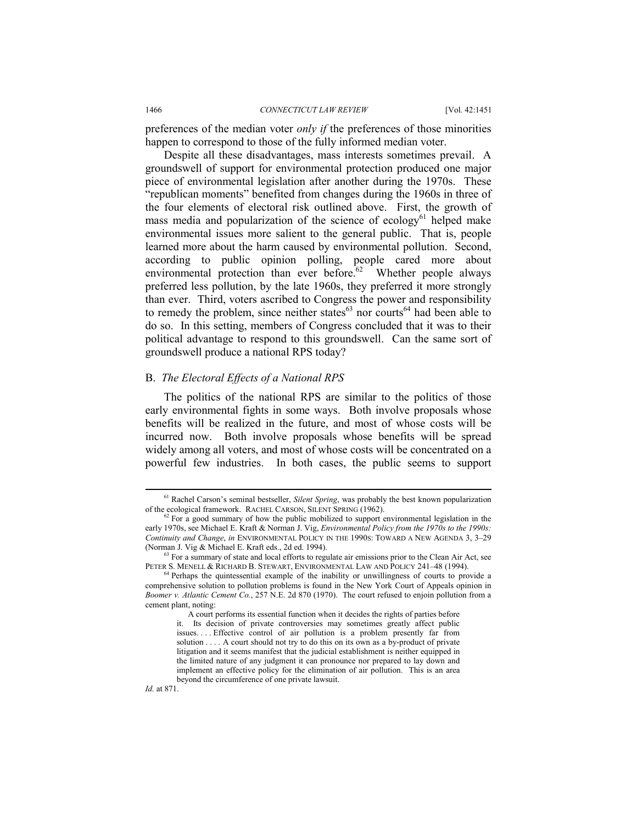preferences of the median voter *only if* the preferences of those minorities happen to correspond to those of the fully informed median voter.

Despite all these disadvantages, mass interests sometimes prevail. A groundswell of support for environmental protection produced one major piece of environmental legislation after another during the 1970s. These "republican moments" benefited from changes during the 1960s in three of the four elements of electoral risk outlined above. First, the growth of mass media and popularization of the science of ecology<sup>61</sup> helped make environmental issues more salient to the general public. That is, people learned more about the harm caused by environmental pollution. Second, according to public opinion polling, people cared more about environmental protection than ever before. $62$  Whether people always preferred less pollution, by the late 1960s, they preferred it more strongly than ever. Third, voters ascribed to Congress the power and responsibility to remedy the problem, since neither states $^{63}$  nor courts<sup>64</sup> had been able to do so. In this setting, members of Congress concluded that it was to their political advantage to respond to this groundswell. Can the same sort of groundswell produce a national RPS today?

# B. *The Electoral Effects of a National RPS*

The politics of the national RPS are similar to the politics of those early environmental fights in some ways. Both involve proposals whose benefits will be realized in the future, and most of whose costs will be incurred now. Both involve proposals whose benefits will be spread widely among all voters, and most of whose costs will be concentrated on a powerful few industries. In both cases, the public seems to support

*Id.* at 871.

<sup>&</sup>lt;sup>61</sup> Rachel Carson's seminal bestseller, *Silent Spring*, was probably the best known popularization of the ecological framework. RACHEL CARSON, SILENT SPRING (1962).

 $62$  For a good summary of how the public mobilized to support environmental legislation in the early 1970s, see Michael E. Kraft & Norman J. Vig, *Environmental Policy from the 1970s to the 1990s: Continuity and Change*, *in* ENVIRONMENTAL POLICY IN THE 1990S: TOWARD A NEW AGENDA 3, 3–29

<sup>(</sup>Norman J. Vig & Michael E. Kraft eds., 2d ed. 1994).<br><sup>63</sup> For a summary of state and local efforts to regulate air emissions prior to the Clean Air Act, see<br>PETER S. MENELL & RICHARD B. STEWART, ENVIRONMENTAL LAW AND POL

 $64$  Perhaps the quintessential example of the inability or unwillingness of courts to provide a comprehensive solution to pollution problems is found in the New York Court of Appeals opinion in *Boomer v. Atlantic Cement Co.*, 257 N.E. 2d 870 (1970). The court refused to enjoin pollution from a cement plant, noting:

A court performs its essential function when it decides the rights of parties before it. Its decision of private controversies may sometimes greatly affect public issues. . . . Effective control of air pollution is a problem presently far from solution . . . . A court should not try to do this on its own as a by-product of private litigation and it seems manifest that the judicial establishment is neither equipped in the limited nature of any judgment it can pronounce nor prepared to lay down and implement an effective policy for the elimination of air pollution. This is an area beyond the circumference of one private lawsuit.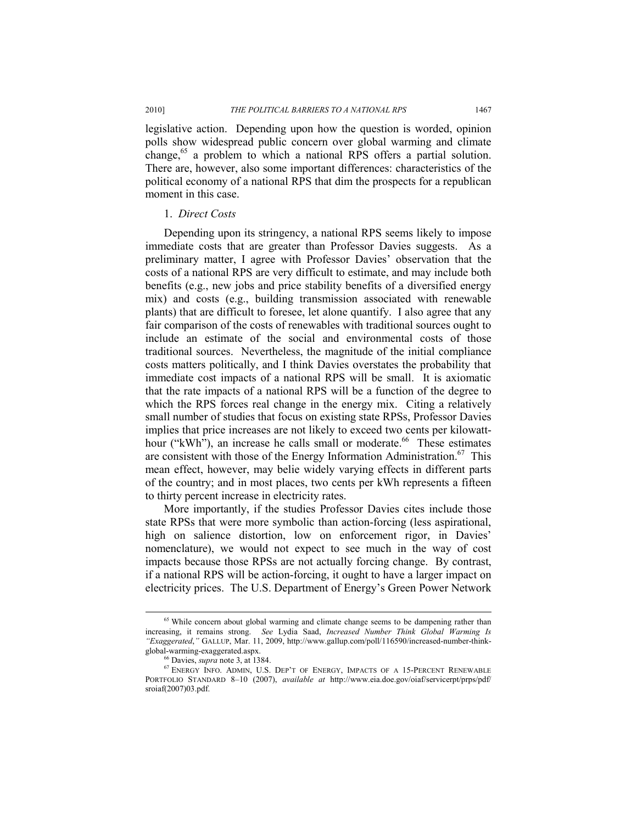legislative action. Depending upon how the question is worded, opinion polls show widespread public concern over global warming and climate change,<sup>65</sup> a problem to which a national RPS offers a partial solution. There are, however, also some important differences: characteristics of the political economy of a national RPS that dim the prospects for a republican moment in this case.

## 1. *Direct Costs*

Depending upon its stringency, a national RPS seems likely to impose immediate costs that are greater than Professor Davies suggests. As a preliminary matter, I agree with Professor Davies' observation that the costs of a national RPS are very difficult to estimate, and may include both benefits (e.g., new jobs and price stability benefits of a diversified energy mix) and costs (e.g., building transmission associated with renewable plants) that are difficult to foresee, let alone quantify. I also agree that any fair comparison of the costs of renewables with traditional sources ought to include an estimate of the social and environmental costs of those traditional sources. Nevertheless, the magnitude of the initial compliance costs matters politically, and I think Davies overstates the probability that immediate cost impacts of a national RPS will be small. It is axiomatic that the rate impacts of a national RPS will be a function of the degree to which the RPS forces real change in the energy mix. Citing a relatively small number of studies that focus on existing state RPSs, Professor Davies implies that price increases are not likely to exceed two cents per kilowatthour ("kWh"), an increase he calls small or moderate.<sup>66</sup> These estimates are consistent with those of the Energy Information Administration.<sup>67</sup> This mean effect, however, may belie widely varying effects in different parts of the country; and in most places, two cents per kWh represents a fifteen to thirty percent increase in electricity rates.

More importantly, if the studies Professor Davies cites include those state RPSs that were more symbolic than action-forcing (less aspirational, high on salience distortion, low on enforcement rigor, in Davies' nomenclature), we would not expect to see much in the way of cost impacts because those RPSs are not actually forcing change. By contrast, if a national RPS will be action-forcing, it ought to have a larger impact on electricity prices. The U.S. Department of Energy's Green Power Network

<sup>&</sup>lt;sup>65</sup> While concern about global warming and climate change seems to be dampening rather than increasing, it remains strong. *See* Lydia Saad, *Increased Number Think Global Warming Is "Exaggerated*,*"* GALLUP, Mar. 11, 2009, http://www.gallup.com/poll/116590/increased-number-thinkglobal-warming-exaggerated.aspx.<br><sup>66</sup> Davies, *supra* note 3, at 1384.<br><sup>67</sup> ENERGY INFO. ADMIN, U.S. DEP'T OF ENERGY, IMPACTS OF A 15-PERCENT RENEWABLE

PORTFOLIO STANDARD 8–10 (2007), *available at* http://www.eia.doe.gov/oiaf/servicerpt/prps/pdf/ sroiaf(2007)03.pdf.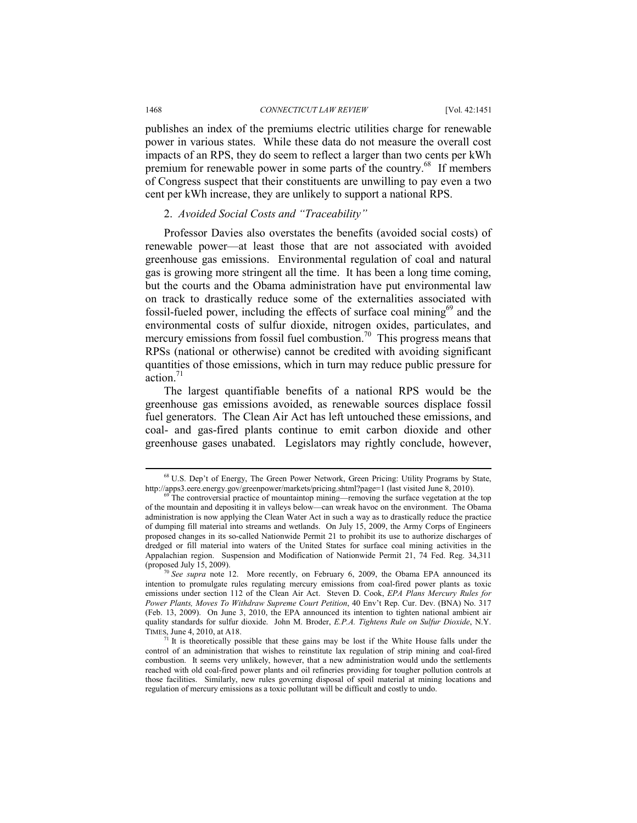publishes an index of the premiums electric utilities charge for renewable power in various states. While these data do not measure the overall cost impacts of an RPS, they do seem to reflect a larger than two cents per kWh premium for renewable power in some parts of the country.<sup>68</sup> If members of Congress suspect that their constituents are unwilling to pay even a two cent per kWh increase, they are unlikely to support a national RPS.

## 2. *Avoided Social Costs and "Traceability"*

Professor Davies also overstates the benefits (avoided social costs) of renewable power—at least those that are not associated with avoided greenhouse gas emissions. Environmental regulation of coal and natural gas is growing more stringent all the time. It has been a long time coming, but the courts and the Obama administration have put environmental law on track to drastically reduce some of the externalities associated with fossil-fueled power, including the effects of surface coal mining $69$  and the environmental costs of sulfur dioxide, nitrogen oxides, particulates, and mercury emissions from fossil fuel combustion.<sup>70</sup> This progress means that RPSs (national or otherwise) cannot be credited with avoiding significant quantities of those emissions, which in turn may reduce public pressure for action.<sup>71</sup>

The largest quantifiable benefits of a national RPS would be the greenhouse gas emissions avoided, as renewable sources displace fossil fuel generators. The Clean Air Act has left untouched these emissions, and coal- and gas-fired plants continue to emit carbon dioxide and other greenhouse gases unabated. Legislators may rightly conclude, however,

 <sup>68</sup> U.S. Dep't of Energy, The Green Power Network, Green Pricing: Utility Programs by State, http://apps3.eere.energy.gov/greenpower/markets/pricing.shtml?page=1 (last visited June 8, 2010).<br><sup>69</sup> The controversial practice of mountaintop mining—removing the surface vegetation at the top

of the mountain and depositing it in valleys below—can wreak havoc on the environment. The Obama administration is now applying the Clean Water Act in such a way as to drastically reduce the practice of dumping fill material into streams and wetlands. On July 15, 2009, the Army Corps of Engineers proposed changes in its so-called Nationwide Permit 21 to prohibit its use to authorize discharges of dredged or fill material into waters of the United States for surface coal mining activities in the Appalachian region. Suspension and Modification of Nationwide Permit 21, 74 Fed. Reg. 34,311

<sup>&</sup>lt;sup>70</sup> See *supra* note 12. More recently, on February 6, 2009, the Obama EPA announced its intention to promulgate rules regulating mercury emissions from coal-fired power plants as toxic emissions under section 112 of the Clean Air Act. Steven D. Cook, *EPA Plans Mercury Rules for Power Plants, Moves To Withdraw Supreme Court Petition*, 40 Env't Rep. Cur. Dev. (BNA) No. 317 (Feb. 13, 2009). On June 3, 2010, the EPA announced its intention to tighten national ambient air quality standards for sulfur dioxide. John M. Broder, *E.P.A. Tightens Rule on Sulfur Dioxide*, N.Y. TIMES, June 4, 2010, at A18.

 $71$  It is theoretically possible that these gains may be lost if the White House falls under the control of an administration that wishes to reinstitute lax regulation of strip mining and coal-fired combustion. It seems very unlikely, however, that a new administration would undo the settlements reached with old coal-fired power plants and oil refineries providing for tougher pollution controls at those facilities. Similarly, new rules governing disposal of spoil material at mining locations and regulation of mercury emissions as a toxic pollutant will be difficult and costly to undo.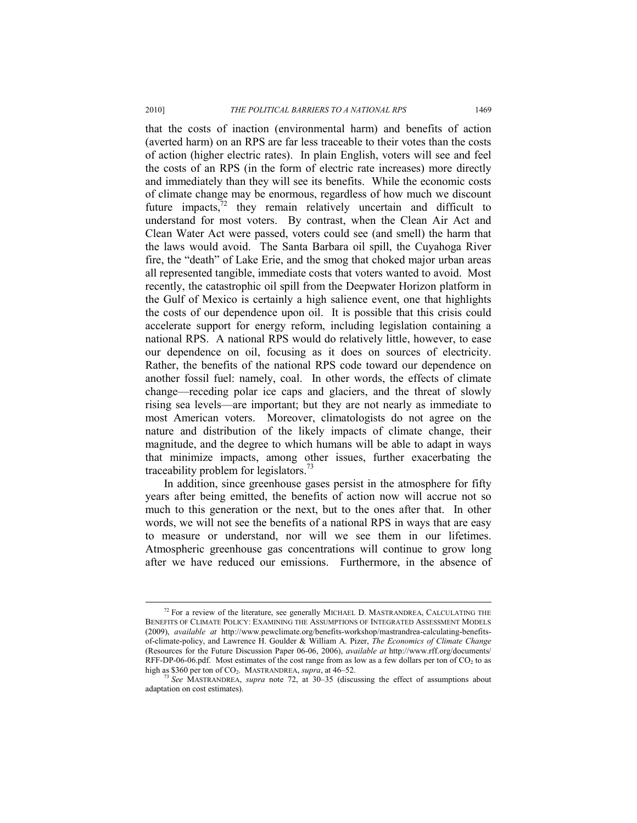that the costs of inaction (environmental harm) and benefits of action (averted harm) on an RPS are far less traceable to their votes than the costs of action (higher electric rates). In plain English, voters will see and feel the costs of an RPS (in the form of electric rate increases) more directly and immediately than they will see its benefits. While the economic costs of climate change may be enormous, regardless of how much we discount future impacts, $72$  they remain relatively uncertain and difficult to understand for most voters. By contrast, when the Clean Air Act and Clean Water Act were passed, voters could see (and smell) the harm that the laws would avoid. The Santa Barbara oil spill, the Cuyahoga River fire, the "death" of Lake Erie, and the smog that choked major urban areas all represented tangible, immediate costs that voters wanted to avoid. Most recently, the catastrophic oil spill from the Deepwater Horizon platform in the Gulf of Mexico is certainly a high salience event, one that highlights the costs of our dependence upon oil. It is possible that this crisis could accelerate support for energy reform, including legislation containing a national RPS. A national RPS would do relatively little, however, to ease our dependence on oil, focusing as it does on sources of electricity. Rather, the benefits of the national RPS code toward our dependence on another fossil fuel: namely, coal. In other words, the effects of climate change—receding polar ice caps and glaciers, and the threat of slowly rising sea levels—are important; but they are not nearly as immediate to most American voters. Moreover, climatologists do not agree on the nature and distribution of the likely impacts of climate change, their magnitude, and the degree to which humans will be able to adapt in ways that minimize impacts, among other issues, further exacerbating the traceability problem for legislators.<sup>73</sup>

In addition, since greenhouse gases persist in the atmosphere for fifty years after being emitted, the benefits of action now will accrue not so much to this generation or the next, but to the ones after that. In other words, we will not see the benefits of a national RPS in ways that are easy to measure or understand, nor will we see them in our lifetimes. Atmospheric greenhouse gas concentrations will continue to grow long after we have reduced our emissions. Furthermore, in the absence of

<sup>&</sup>lt;sup>72</sup> For a review of the literature, see generally MICHAEL D. MASTRANDREA, CALCULATING THE BENEFITS OF CLIMATE POLICY: EXAMINING THE ASSUMPTIONS OF INTEGRATED ASSESSMENT MODELS (2009), *available at* http://www.pewclimate.org/benefits-workshop/mastrandrea-calculating-benefitsof-climate-policy, and Lawrence H. Goulder & William A. Pizer, *The Economics of Climate Change* (Resources for the Future Discussion Paper 06-06, 2006), *available at* http://www.rff.org/documents/ RFF-DP-06-06.pdf. Most estimates of the cost range from as low as a few dollars per ton of  $CO<sub>2</sub>$  to as high as \$360 per ton of  $CO<sub>2</sub>$ . MASTRANDREA, *supra*, at 46–52.

<sup>&</sup>lt;sup>73</sup> See MASTRANDREA, *supra* note 72, at 30–35 (discussing the effect of assumptions about adaptation on cost estimates).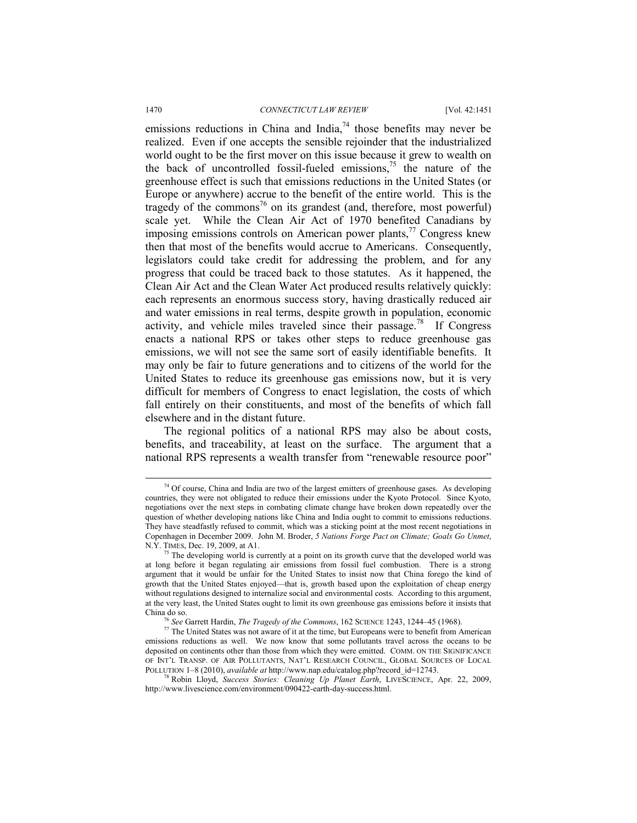emissions reductions in China and India, $^{74}$  those benefits may never be realized. Even if one accepts the sensible rejoinder that the industrialized world ought to be the first mover on this issue because it grew to wealth on the back of uncontrolled fossil-fueled emissions,  $\frac{75}{10}$  the nature of the greenhouse effect is such that emissions reductions in the United States (or Europe or anywhere) accrue to the benefit of the entire world. This is the tragedy of the commons<sup>76</sup> on its grandest (and, therefore, most powerful) scale yet. While the Clean Air Act of 1970 benefited Canadians by imposing emissions controls on American power plants, $\frac{7}{7}$  Congress knew then that most of the benefits would accrue to Americans. Consequently, legislators could take credit for addressing the problem, and for any progress that could be traced back to those statutes. As it happened, the Clean Air Act and the Clean Water Act produced results relatively quickly: each represents an enormous success story, having drastically reduced air and water emissions in real terms, despite growth in population, economic activity, and vehicle miles traveled since their passage.<sup>78</sup> If Congress enacts a national RPS or takes other steps to reduce greenhouse gas emissions, we will not see the same sort of easily identifiable benefits. It may only be fair to future generations and to citizens of the world for the United States to reduce its greenhouse gas emissions now, but it is very difficult for members of Congress to enact legislation, the costs of which fall entirely on their constituents, and most of the benefits of which fall elsewhere and in the distant future.

The regional politics of a national RPS may also be about costs, benefits, and traceability, at least on the surface. The argument that a national RPS represents a wealth transfer from "renewable resource poor"

 $74$  Of course, China and India are two of the largest emitters of greenhouse gases. As developing countries, they were not obligated to reduce their emissions under the Kyoto Protocol. Since Kyoto, negotiations over the next steps in combating climate change have broken down repeatedly over the question of whether developing nations like China and India ought to commit to emissions reductions. They have steadfastly refused to commit, which was a sticking point at the most recent negotiations in Copenhagen in December 2009. John M. Broder, *5 Nations Forge Pact on Climate; Goals Go Unmet*, N.Y. TIMES, Dec. 19, 2009, at A1.<br><sup>75</sup> The developing world is currently at a point on its growth curve that the developed world was

at long before it began regulating air emissions from fossil fuel combustion. There is a strong argument that it would be unfair for the United States to insist now that China forego the kind of growth that the United States enjoyed—that is, growth based upon the exploitation of cheap energy without regulations designed to internalize social and environmental costs. According to this argument, at the very least, the United States ought to limit its own greenhouse gas emissions before it insists that China do so.

<sup>&</sup>lt;sup>76</sup> *See* Garrett Hardin, *The Tragedy of the Commons*, 162 SCIENCE 1243, 1244–45 (1968). <sup>77</sup> The United States was not aware of it at the time, but Europeans were to benefit from American emissions reductions as well. We now know that some pollutants travel across the oceans to be deposited on continents other than those from which they were emitted. COMM. ON THE SIGNIFICANCE OF INT'L TRANSP. OF AIR POLLUTANTS, NAT'L RESEARCH COUNCIL, GLOBAL SOURCES OF LOCAL POLLUTION 1–8 (2010), *available at* http://www.nap.edu/catalog.php?record\_id=12743.

<sup>78</sup> Robin Lloyd, *Success Stories: Cleaning Up Planet Earth*, LIVESCIENCE, Apr. 22, 2009, http://www.livescience.com/environment/090422-earth-day-success.html.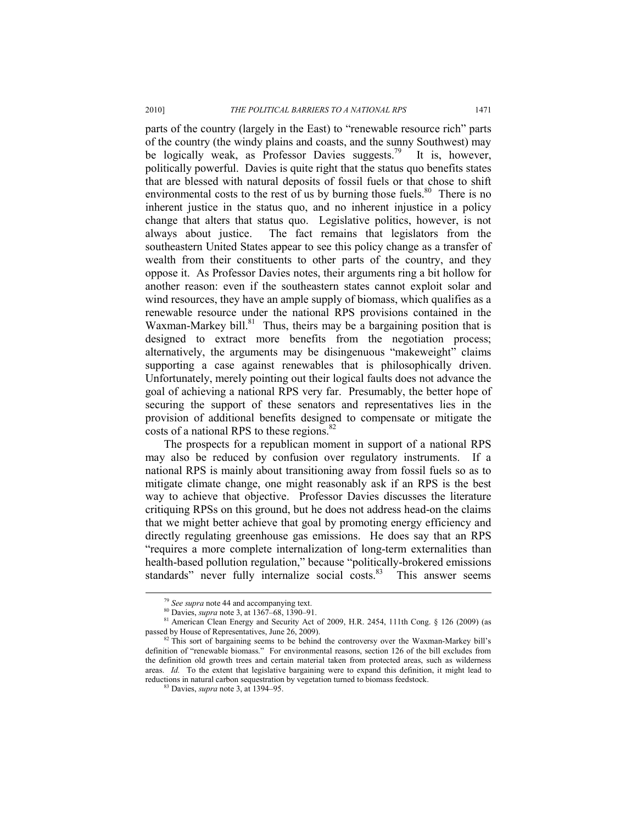parts of the country (largely in the East) to "renewable resource rich" parts of the country (the windy plains and coasts, and the sunny Southwest) may be logically weak, as Professor Davies suggests.<sup>79</sup> It is, however, politically powerful. Davies is quite right that the status quo benefits states that are blessed with natural deposits of fossil fuels or that chose to shift environmental costs to the rest of us by burning those fuels.<sup>80</sup> There is no inherent justice in the status quo, and no inherent injustice in a policy change that alters that status quo. Legislative politics, however, is not always about justice. The fact remains that legislators from the southeastern United States appear to see this policy change as a transfer of wealth from their constituents to other parts of the country, and they oppose it. As Professor Davies notes, their arguments ring a bit hollow for another reason: even if the southeastern states cannot exploit solar and wind resources, they have an ample supply of biomass, which qualifies as a renewable resource under the national RPS provisions contained in the Waxman-Markey bill. $81$  Thus, theirs may be a bargaining position that is designed to extract more benefits from the negotiation process; alternatively, the arguments may be disingenuous "makeweight" claims supporting a case against renewables that is philosophically driven. Unfortunately, merely pointing out their logical faults does not advance the goal of achieving a national RPS very far. Presumably, the better hope of securing the support of these senators and representatives lies in the provision of additional benefits designed to compensate or mitigate the costs of a national RPS to these regions.<sup>82</sup>

The prospects for a republican moment in support of a national RPS may also be reduced by confusion over regulatory instruments. If a national RPS is mainly about transitioning away from fossil fuels so as to mitigate climate change, one might reasonably ask if an RPS is the best way to achieve that objective. Professor Davies discusses the literature critiquing RPSs on this ground, but he does not address head-on the claims that we might better achieve that goal by promoting energy efficiency and directly regulating greenhouse gas emissions. He does say that an RPS "requires a more complete internalization of long-term externalities than health-based pollution regulation," because "politically-brokered emissions standards" never fully internalize social costs.<sup>83</sup> This answer seems

<sup>79</sup> *See supra* note 44 and accompanying text. 80 Davies, *supra* note 3, at 1367–68, 1390–91.

<sup>&</sup>lt;sup>81</sup> American Clean Energy and Security Act of 2009, H.R. 2454, 111th Cong. § 126 (2009) (as passed by House of Representatives, June 26, 2009).

<sup>&</sup>lt;sup>82</sup> This sort of bargaining seems to be behind the controversy over the Waxman-Markey bill's definition of "renewable biomass." For environmental reasons, section 126 of the bill excludes from the definition old growth trees and certain material taken from protected areas, such as wilderness areas. *Id.* To the extent that legislative bargaining were to expand this definition, it might lead to reductions in natural carbon sequestration by vegetation turned to biomass feedstock. 83 Davies, *supra* note 3, at 1394–95.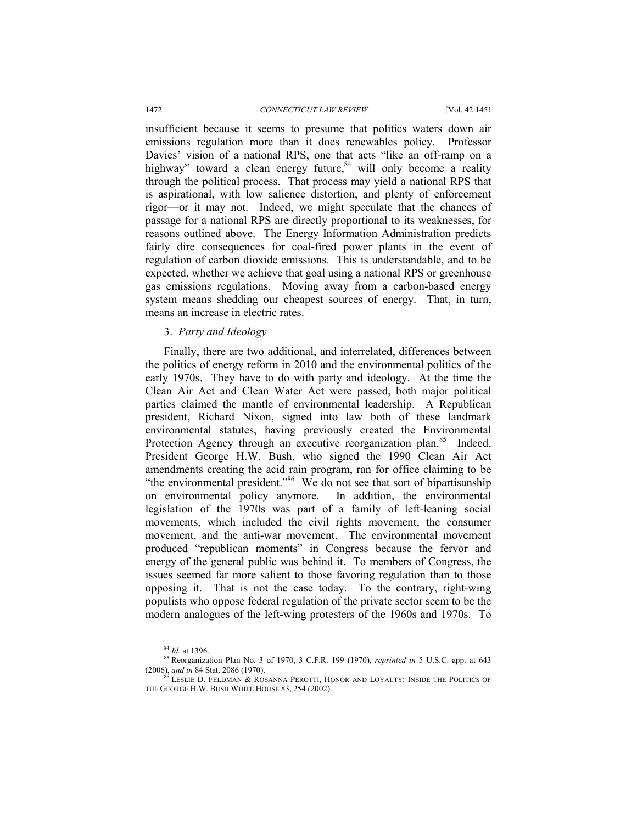insufficient because it seems to presume that politics waters down air emissions regulation more than it does renewables policy. Professor Davies' vision of a national RPS, one that acts "like an off-ramp on a highway" toward a clean energy future, $84$  will only become a reality through the political process. That process may yield a national RPS that is aspirational, with low salience distortion, and plenty of enforcement rigor—or it may not. Indeed, we might speculate that the chances of passage for a national RPS are directly proportional to its weaknesses, for reasons outlined above. The Energy Information Administration predicts fairly dire consequences for coal-fired power plants in the event of regulation of carbon dioxide emissions. This is understandable, and to be expected, whether we achieve that goal using a national RPS or greenhouse gas emissions regulations. Moving away from a carbon-based energy system means shedding our cheapest sources of energy. That, in turn, means an increase in electric rates.

# 3. *Party and Ideology*

Finally, there are two additional, and interrelated, differences between the politics of energy reform in 2010 and the environmental politics of the early 1970s. They have to do with party and ideology. At the time the Clean Air Act and Clean Water Act were passed, both major political parties claimed the mantle of environmental leadership. A Republican president, Richard Nixon, signed into law both of these landmark environmental statutes, having previously created the Environmental Protection Agency through an executive reorganization plan.<sup>85</sup> Indeed, President George H.W. Bush, who signed the 1990 Clean Air Act amendments creating the acid rain program, ran for office claiming to be "the environmental president."<sup>86</sup> We do not see that sort of bipartisanship on environmental policy anymore. In addition, the environmental legislation of the 1970s was part of a family of left-leaning social movements, which included the civil rights movement, the consumer movement, and the anti-war movement. The environmental movement produced "republican moments" in Congress because the fervor and energy of the general public was behind it. To members of Congress, the issues seemed far more salient to those favoring regulation than to those opposing it. That is not the case today. To the contrary, right-wing populists who oppose federal regulation of the private sector seem to be the modern analogues of the left-wing protesters of the 1960s and 1970s. To

 <sup>84</sup> *Id.* at 1396.

<sup>&</sup>lt;sup>85</sup> Reorganization Plan No. 3 of 1970, 3 C.F.R. 199 (1970), *reprinted in* 5 U.S.C. app. at 643 (2006), *and in* 84 Stat. 2086 (1970).

<sup>&</sup>lt;sup>5</sup> LESLIE D. FELDMAN & ROSANNA PEROTTI, HONOR AND LOYALTY: INSIDE THE POLITICS OF THE GEORGE H.W. BUSH WHITE HOUSE 83, 254 (2002).